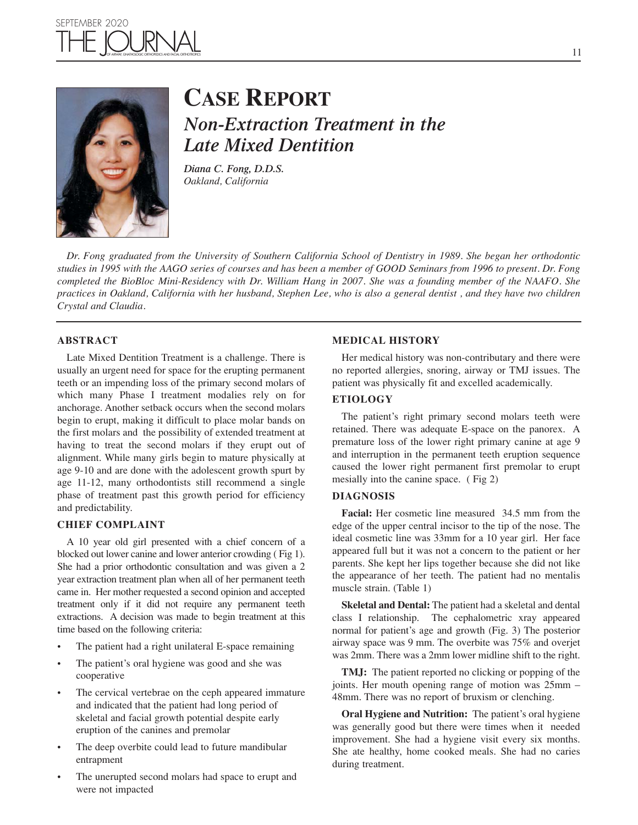## $\mathbb{F} \boxtimes$ SEPTEMBER 2020



# **CASE REPORT**

*Non-Extraction Treatment in the Late Mixed Dentition*

*Diana C. Fong, D.D.S. Oakland, California*

*Dr. Fong graduated from the University of Southern California School of Dentistry in 1989. She began her orthodontic studies in 1995 with the AAGO series of courses and has been a member of GOOD Seminars from 1996 to present. Dr. Fong completed the BioBloc Mini-Residency with Dr. William Hang in 2007. She was a founding member of the NAAFO. She practices in Oakland, California with her husband, Stephen Lee, who is also a general dentist , and they have two children Crystal and Claudia.*

#### **ABSTRACT**

Late Mixed Dentition Treatment is a challenge. There is usually an urgent need for space for the erupting permanent teeth or an impending loss of the primary second molars of which many Phase I treatment modalies rely on for anchorage. Another setback occurs when the second molars begin to erupt, making it difficult to place molar bands on the first molars and the possibility of extended treatment at having to treat the second molars if they erupt out of alignment. While many girls begin to mature physically at age 9-10 and are done with the adolescent growth spurt by age 11-12, many orthodontists still recommend a single phase of treatment past this growth period for efficiency and predictability.

#### **CHIEF COMPLAINT**

A 10 year old girl presented with a chief concern of a blocked out lower canine and lower anterior crowding ( Fig 1). She had a prior orthodontic consultation and was given a 2 year extraction treatment plan when all of her permanent teeth came in. Her mother requested a second opinion and accepted treatment only if it did not require any permanent teeth extractions. A decision was made to begin treatment at this time based on the following criteria:

- The patient had a right unilateral E-space remaining
- The patient's oral hygiene was good and she was cooperative
- The cervical vertebrae on the ceph appeared immature and indicated that the patient had long period of skeletal and facial growth potential despite early eruption of the canines and premolar
- The deep overbite could lead to future mandibular entrapment
- The unerupted second molars had space to erupt and were not impacted

#### **MEDICAL HISTORY**

Her medical history was non-contributary and there were no reported allergies, snoring, airway or TMJ issues. The patient was physically fit and excelled academically.

#### **ETIOLOGY**

The patient's right primary second molars teeth were retained. There was adequate E-space on the panorex. A premature loss of the lower right primary canine at age 9 and interruption in the permanent teeth eruption sequence caused the lower right permanent first premolar to erupt mesially into the canine space. ( Fig 2)

#### **DIAGNOSIS**

**Facial:** Her cosmetic line measured 34.5 mm from the edge of the upper central incisor to the tip of the nose. The ideal cosmetic line was 33mm for a 10 year girl. Her face appeared full but it was not a concern to the patient or her parents. She kept her lips together because she did not like the appearance of her teeth. The patient had no mentalis muscle strain. (Table 1)

**Skeletal and Dental:** The patient had a skeletal and dental class I relationship. The cephalometric xray appeared normal for patient's age and growth (Fig. 3) The posterior airway space was 9 mm. The overbite was 75% and overjet was 2mm. There was a 2mm lower midline shift to the right.

**TMJ:** The patient reported no clicking or popping of the joints. Her mouth opening range of motion was 25mm – 48mm. There was no report of bruxism or clenching.

**Oral Hygiene and Nutrition:** The patient's oral hygiene was generally good but there were times when it needed improvement. She had a hygiene visit every six months. She ate healthy, home cooked meals. She had no caries during treatment.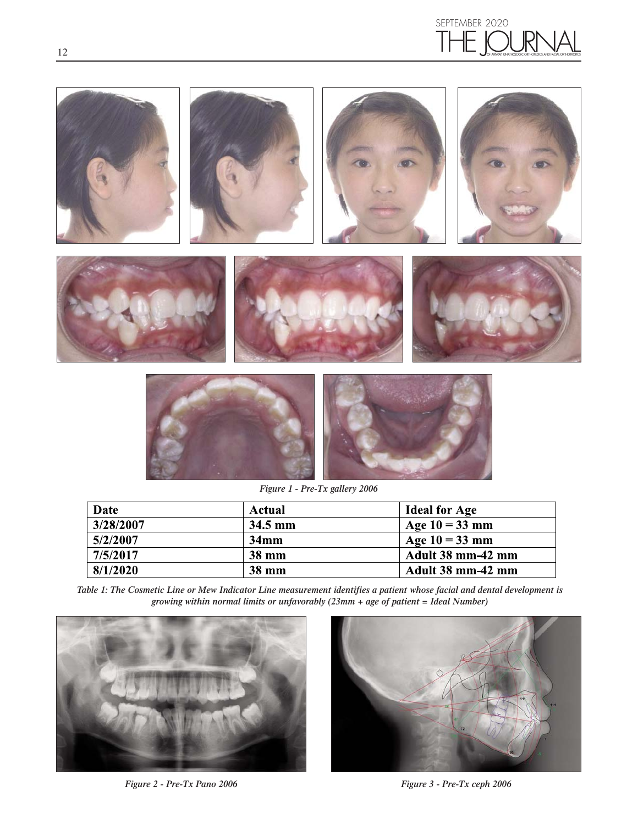





*Figure 1 - Pre-Tx gallery 2006*

| Date      | Actual       | <b>Ideal for Age</b> |
|-----------|--------------|----------------------|
| 3/28/2007 | $34.5$ mm    | Age $10 = 33$ mm     |
| 5/2/2007  | 34mm         | Age $10 = 33$ mm     |
| 7/5/2017  | <b>38 mm</b> | Adult 38 mm-42 mm    |
| 8/1/2020  | <b>38 mm</b> | Adult 38 mm-42 mm    |

*Table 1: The Cosmetic Line or Mew Indicator Line measurement identifies a patient whose facial and dental development is growing within normal limits or unfavorably (23mm + age of patient = Ideal Number)*



*Figure 2 - Pre-Tx Pano 2006 Figure 3 - Pre-Tx ceph 2006*

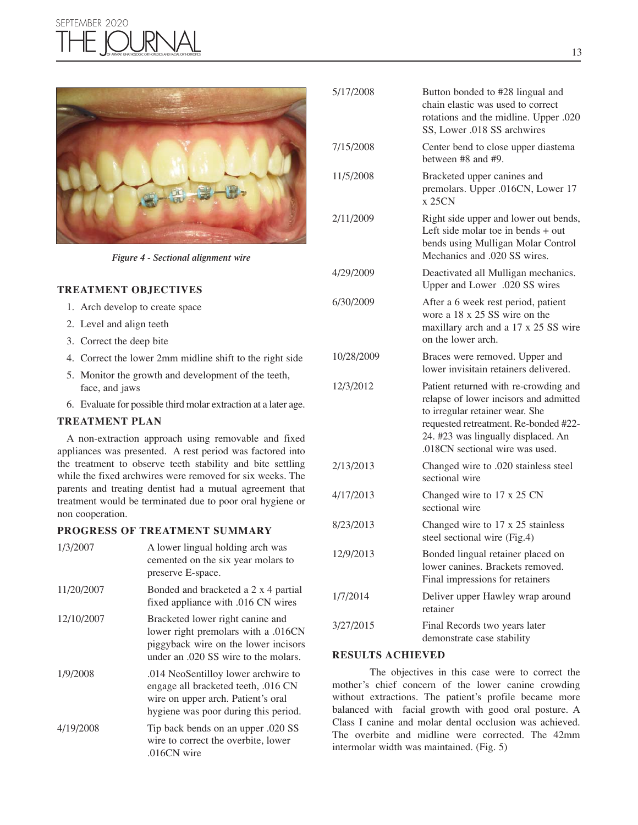### SEPTEMBER 2020 1E IOL OF AIRWAY, GNATHOLOGIC ORTHOPEDICS AND FACIAL ORTHOTROPICS



*Figure 4 - Sectional alignment wire*

#### **TREATMENT OBJECTIVES**

- 1. Arch develop to create space
- 2. Level and align teeth
- 3. Correct the deep bite
- 4. Correct the lower 2mm midline shift to the right side
- 5. Monitor the growth and development of the teeth, face, and jaws
- 6. Evaluate for possible third molar extraction at a later age.

#### **TREATMENT PLAN**

A non-extraction approach using removable and fixed appliances was presented. A rest period was factored into the treatment to observe teeth stability and bite settling while the fixed archwires were removed for six weeks. The parents and treating dentist had a mutual agreement that treatment would be terminated due to poor oral hygiene or non cooperation.

#### **PROGRESS OF TREATMENT SUMMARY**

| 1/3/2007   | A lower lingual holding arch was<br>cemented on the six year molars to<br>preserve E-space.                                                              |
|------------|----------------------------------------------------------------------------------------------------------------------------------------------------------|
| 11/20/2007 | Bonded and bracketed a 2 x 4 partial<br>fixed appliance with .016 CN wires                                                                               |
| 12/10/2007 | Bracketed lower right canine and<br>lower right premolars with a .016CN<br>piggyback wire on the lower incisors<br>under an .020 SS wire to the molars.  |
| 1/9/2008   | .014 NeoSentilloy lower archwire to<br>engage all bracketed teeth, .016 CN<br>wire on upper arch. Patient's oral<br>hygiene was poor during this period. |
| 4/19/2008  | Tip back bends on an upper .020 SS<br>wire to correct the overbite, lower<br>.016CN wire                                                                 |

| 5/17/2008  | Button bonded to #28 lingual and<br>chain elastic was used to correct<br>rotations and the midline. Upper .020<br>SS, Lower .018 SS archwires                                                                                         |  |
|------------|---------------------------------------------------------------------------------------------------------------------------------------------------------------------------------------------------------------------------------------|--|
| 7/15/2008  | Center bend to close upper diastema<br>between $#8$ and $#9$ .                                                                                                                                                                        |  |
| 11/5/2008  | Bracketed upper canines and<br>premolars. Upper .016CN, Lower 17<br>x 25CN                                                                                                                                                            |  |
| 2/11/2009  | Right side upper and lower out bends,<br>Left side molar toe in bends + out<br>bends using Mulligan Molar Control<br>Mechanics and .020 SS wires.                                                                                     |  |
| 4/29/2009  | Deactivated all Mulligan mechanics.<br>Upper and Lower .020 SS wires                                                                                                                                                                  |  |
| 6/30/2009  | After a 6 week rest period, patient<br>wore a 18 x 25 SS wire on the<br>maxillary arch and a 17 x 25 SS wire<br>on the lower arch.                                                                                                    |  |
| 10/28/2009 | Braces were removed. Upper and<br>lower invisitain retainers delivered.                                                                                                                                                               |  |
| 12/3/2012  | Patient returned with re-crowding and<br>relapse of lower incisors and admitted<br>to irregular retainer wear. She<br>requested retreatment. Re-bonded #22-<br>24. #23 was lingually displaced. An<br>.018CN sectional wire was used. |  |
| 2/13/2013  | Changed wire to .020 stainless steel<br>sectional wire                                                                                                                                                                                |  |
| 4/17/2013  | Changed wire to 17 x 25 CN<br>sectional wire                                                                                                                                                                                          |  |
| 8/23/2013  | Changed wire to 17 x 25 stainless<br>steel sectional wire (Fig.4)                                                                                                                                                                     |  |
| 12/9/2013  | Bonded lingual retainer placed on<br>lower canines. Brackets removed.<br>Final impressions for retainers                                                                                                                              |  |
| 1/7/2014   | Deliver upper Hawley wrap around<br>retainer                                                                                                                                                                                          |  |
| 3/27/2015  | Final Records two years later<br>demonstrate case stability                                                                                                                                                                           |  |

#### **RESULTS ACHIEVED**

The objectives in this case were to correct the mother's chief concern of the lower canine crowding without extractions. The patient's profile became more balanced with facial growth with good oral posture. A Class I canine and molar dental occlusion was achieved. The overbite and midline were corrected. The 42mm intermolar width was maintained. (Fig. 5)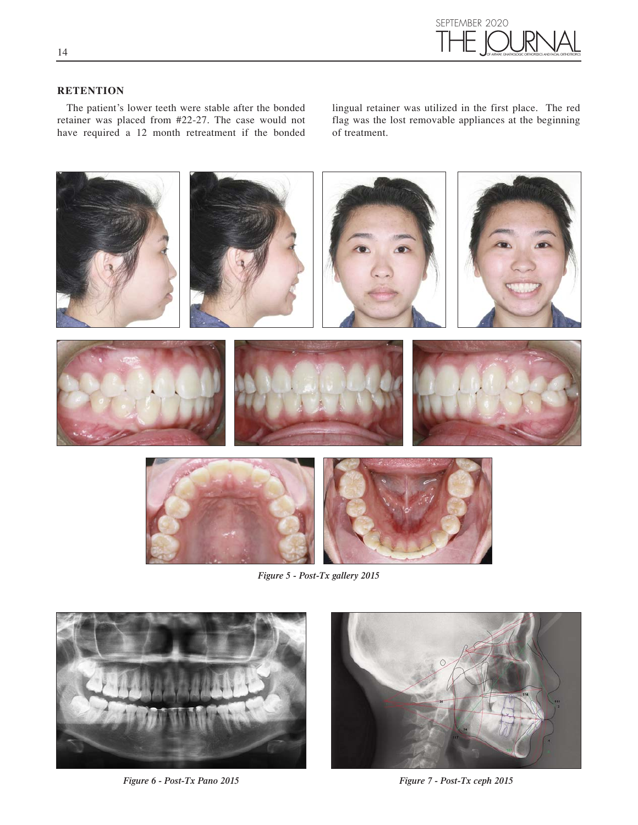

#### **RETENTION**

The patient's lower teeth were stable after the bonded retainer was placed from #22-27. The case would not have required a 12 month retreatment if the bonded

lingual retainer was utilized in the first place. The red flag was the lost removable appliances at the beginning of treatment.



*Figure 5 - Post-Tx gallery 2015*



*Figure 6 - Post-Tx Pano 2015 Figure 7 - Post-Tx ceph 2015*